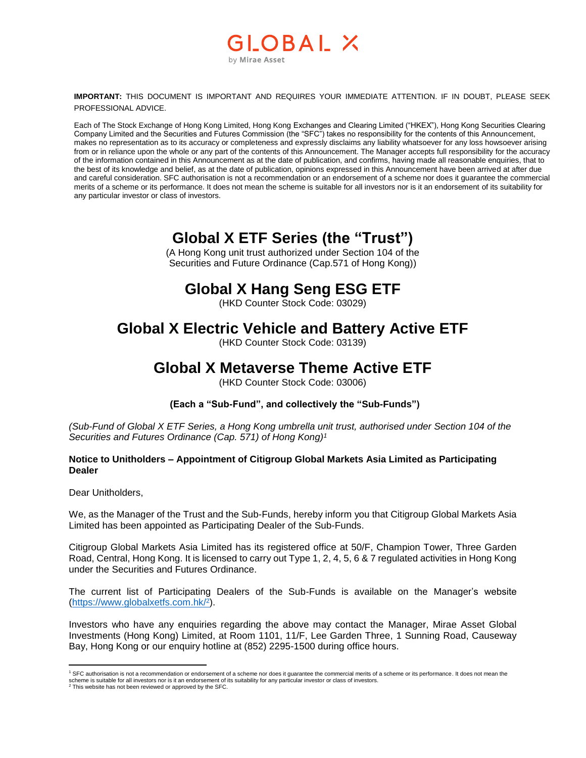### \_OBAL X by Mirae Asset

**IMPORTANT:** THIS DOCUMENT IS IMPORTANT AND REQUIRES YOUR IMMEDIATE ATTENTION. IF IN DOUBT, PLEASE SEEK PROFESSIONAL ADVICE.

Each of The Stock Exchange of Hong Kong Limited, Hong Kong Exchanges and Clearing Limited ("HKEX"), Hong Kong Securities Clearing Company Limited and the Securities and Futures Commission (the "SFC") takes no responsibility for the contents of this Announcement, makes no representation as to its accuracy or completeness and expressly disclaims any liability whatsoever for any loss howsoever arising from or in reliance upon the whole or any part of the contents of this Announcement. The Manager accepts full responsibility for the accuracy of the information contained in this Announcement as at the date of publication, and confirms, having made all reasonable enquiries, that to the best of its knowledge and belief, as at the date of publication, opinions expressed in this Announcement have been arrived at after due and careful consideration. SFC authorisation is not a recommendation or an endorsement of a scheme nor does it guarantee the commercial merits of a scheme or its performance. It does not mean the scheme is suitable for all investors nor is it an endorsement of its suitability for any particular investor or class of investors.

## **Global X ETF Series (the "Trust")**

(A Hong Kong unit trust authorized under Section 104 of the Securities and Future Ordinance (Cap.571 of Hong Kong))

# **Global X Hang Seng ESG ETF**

(HKD Counter Stock Code: 03029)

### **Global X Electric Vehicle and Battery Active ETF**

(HKD Counter Stock Code: 03139)

#### **Global X Metaverse Theme Active ETF**

(HKD Counter Stock Code: 03006)

**(Each a "Sub-Fund", and collectively the "Sub-Funds")**

*(Sub-Fund of Global X ETF Series, a Hong Kong umbrella unit trust, authorised under Section 104 of the Securities and Futures Ordinance (Cap. 571) of Hong Kong)<sup>1</sup>*

#### **Notice to Unitholders – Appointment of Citigroup Global Markets Asia Limited as Participating Dealer**

Dear Unitholders,

 $\overline{a}$ 

We, as the Manager of the Trust and the Sub-Funds, hereby inform you that Citigroup Global Markets Asia Limited has been appointed as Participating Dealer of the Sub-Funds.

Citigroup Global Markets Asia Limited has its registered office at 50/F, Champion Tower, Three Garden Road, Central, Hong Kong. It is licensed to carry out Type 1, 2, 4, 5, 6 & 7 regulated activities in Hong Kong under the Securities and Futures Ordinance.

The current list of Participating Dealers of the Sub-Funds is available on the Manager's website [\(https://www.globalxetfs.com.hk/](https://www.globalxetfs.com.hk/)<sup>2</sup> ).

Investors who have any enquiries regarding the above may contact the Manager, Mirae Asset Global Investments (Hong Kong) Limited, at Room 1101, 11/F, Lee Garden Three, 1 Sunning Road, Causeway Bay, Hong Kong or our enquiry hotline at (852) 2295-1500 during office hours.

<sup>1</sup> SFC authorisation is not a recommendation or endorsement of a scheme nor does it guarantee the commercial merits of a scheme or its performance. It does not mean the scheme is suitable for all investors nor is it an endorsement of its suitability for any particular investor or class of investors.<br><sup>2</sup> This website has not been reviewed or approved by the SFC.